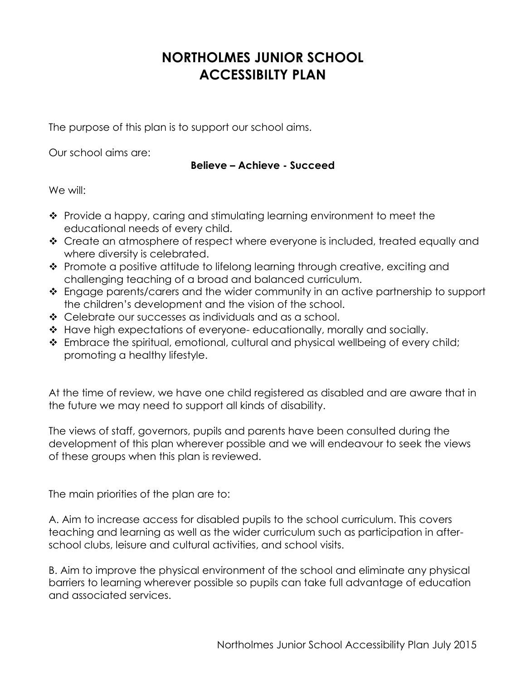## **NORTHOLMES JUNIOR SCHOOL ACCESSIBILTY PLAN**

The purpose of this plan is to support our school aims.

Our school aims are:

## **Believe – Achieve - Succeed**

We will:

- $\cdot$  Provide a happy, caring and stimulating learning environment to meet the educational needs of every child.
- ◆ Create an atmosphere of respect where everyone is included, treated equally and where diversity is celebrated.
- ◆ Promote a positive attitude to lifelong learning through creative, exciting and challenging teaching of a broad and balanced curriculum.
- \* Engage parents/carers and the wider community in an active partnership to support the children's development and the vision of the school.
- Celebrate our successes as individuals and as a school.
- \* Have high expectations of everyone-educationally, morally and socially.
- \* Embrace the spiritual, emotional, cultural and physical wellbeing of every child; promoting a healthy lifestyle.

At the time of review, we have one child registered as disabled and are aware that in the future we may need to support all kinds of disability.

The views of staff, governors, pupils and parents have been consulted during the development of this plan wherever possible and we will endeavour to seek the views of these groups when this plan is reviewed.

The main priorities of the plan are to:

A. Aim to increase access for disabled pupils to the school curriculum. This covers teaching and learning as well as the wider curriculum such as participation in afterschool clubs, leisure and cultural activities, and school visits.

B. Aim to improve the physical environment of the school and eliminate any physical barriers to learning wherever possible so pupils can take full advantage of education and associated services.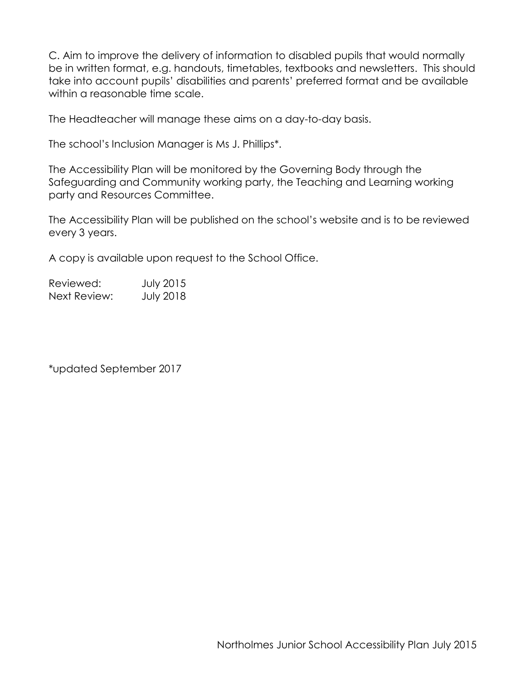C. Aim to improve the delivery of information to disabled pupils that would normally be in written format, e.g. handouts, timetables, textbooks and newsletters. This should take into account pupils' disabilities and parents' preferred format and be available within a reasonable time scale.

The Headteacher will manage these aims on a day-to-day basis.

The school's Inclusion Manager is Ms J. Phillips\*.

The Accessibility Plan will be monitored by the Governing Body through the Safeguarding and Community working party, the Teaching and Learning working party and Resources Committee.

The Accessibility Plan will be published on the school's website and is to be reviewed every 3 years.

A copy is available upon request to the School Office.

| Reviewed:    | <b>July 2015</b> |
|--------------|------------------|
| Next Review: | <b>July 2018</b> |

\*updated September 2017